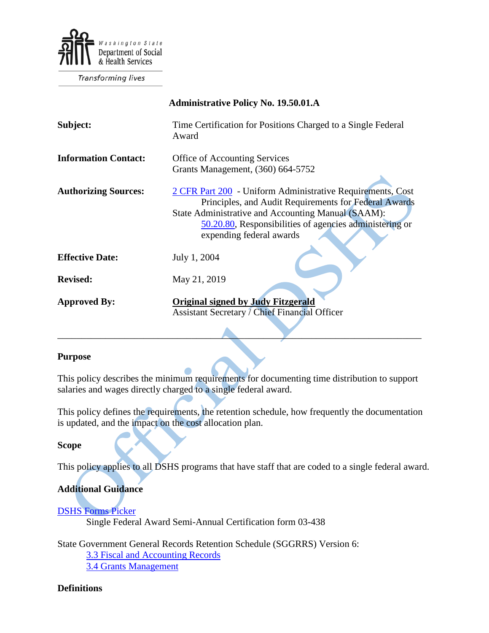

**Transforming lives** 

| <b>Administrative Policy No. 19.50.01.A</b> |                                                                                                                                                                                                                                                                  |
|---------------------------------------------|------------------------------------------------------------------------------------------------------------------------------------------------------------------------------------------------------------------------------------------------------------------|
| Subject:                                    | Time Certification for Positions Charged to a Single Federal<br>Award                                                                                                                                                                                            |
| <b>Information Contact:</b>                 | <b>Office of Accounting Services</b><br>Grants Management, (360) 664-5752                                                                                                                                                                                        |
| <b>Authorizing Sources:</b>                 | 2 CFR Part 200 - Uniform Administrative Requirements, Cost<br>Principles, and Audit Requirements for Federal Awards<br>State Administrative and Accounting Manual (SAAM):<br>50.20.80, Responsibilities of agencies administering or<br>expending federal awards |
| <b>Effective Date:</b>                      | July 1, 2004                                                                                                                                                                                                                                                     |
| <b>Revised:</b>                             | May 21, 2019                                                                                                                                                                                                                                                     |
| <b>Approved By:</b>                         | <b>Original signed by Judy Fitzgerald</b><br><b>Assistant Secretary / Chief Financial Officer</b>                                                                                                                                                                |

# **Purpose**

This policy describes the minimum requirements for documenting time distribution to support salaries and wages directly charged to a single federal award.

\_\_\_\_\_\_\_\_\_\_\_\_\_\_\_\_\_\_\_\_\_\_\_\_\_\_\_\_\_\_\_\_\_\_\_\_\_\_\_\_\_\_\_\_\_\_\_\_\_\_\_\_\_\_\_\_\_\_\_\_\_\_\_\_\_\_\_\_\_\_\_\_\_\_\_\_

This policy defines the requirements, the retention schedule, how frequently the documentation is updated, and the impact on the cost allocation plan.

# **Scope**

This policy applies to all DSHS programs that have staff that are coded to a single federal award.

# **Additional Guidance**

[DSHS Forms Picker](http://forms.dshs.wa.lcl/) Single Federal Award Semi-Annual Certification form 03-438

State Government General Records Retention Schedule (SGGRRS) Version 6: [3.3 Fiscal and Accounting Records](https://www.sos.wa.gov/archives/recordsmanagement/state-agencies-records-retention-schedules.aspx) [3.4 Grants Management](https://www.sos.wa.gov/archives/recordsmanagement/state-agencies-records-retention-schedules.aspx)

# **Definitions**